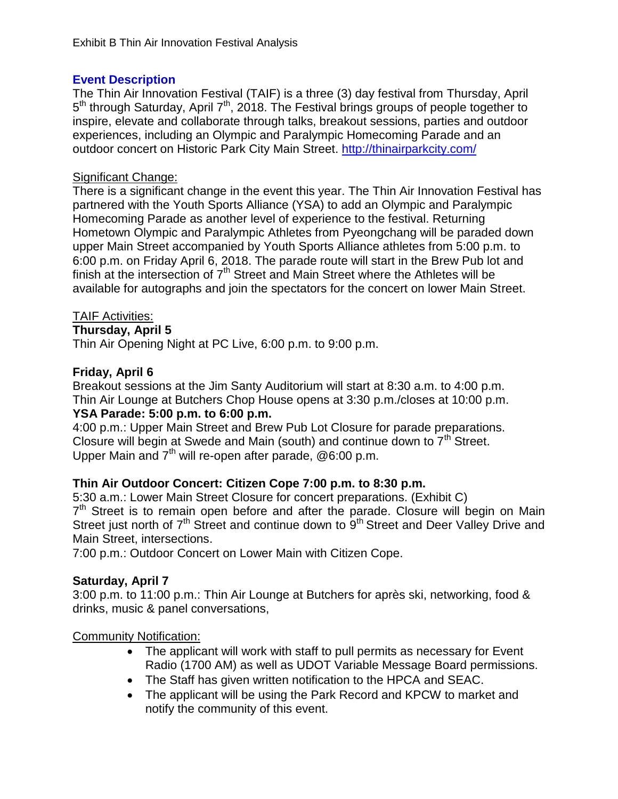### **Event Description**

The Thin Air Innovation Festival (TAIF) is a three (3) day festival from Thursday, April 5<sup>th</sup> through Saturday, April 7<sup>th</sup>, 2018. The Festival brings groups of people together to inspire, elevate and collaborate through talks, breakout sessions, parties and outdoor experiences, including an Olympic and Paralympic Homecoming Parade and an outdoor concert on Historic Park City Main Street.<http://thinairparkcity.com/>

### Significant Change:

There is a significant change in the event this year. The Thin Air Innovation Festival has partnered with the Youth Sports Alliance (YSA) to add an Olympic and Paralympic Homecoming Parade as another level of experience to the festival. Returning Hometown Olympic and Paralympic Athletes from Pyeongchang will be paraded down upper Main Street accompanied by Youth Sports Alliance athletes from 5:00 p.m. to 6:00 p.m. on Friday April 6, 2018. The parade route will start in the Brew Pub lot and finish at the intersection of  $7<sup>th</sup>$  Street and Main Street where the Athletes will be available for autographs and join the spectators for the concert on lower Main Street.

## TAIF Activities:

**Thursday, April 5**

Thin Air Opening Night at PC Live, 6:00 p.m. to 9:00 p.m.

# **Friday, April 6**

Breakout sessions at the Jim Santy Auditorium will start at 8:30 a.m. to 4:00 p.m. Thin Air Lounge at Butchers Chop House opens at 3:30 p.m./closes at 10:00 p.m.

# **YSA Parade: 5:00 p.m. to 6:00 p.m.**

4:00 p.m.: Upper Main Street and Brew Pub Lot Closure for parade preparations. Closure will begin at Swede and Main (south) and continue down to  $7<sup>th</sup>$  Street. Upper Main and  $7<sup>th</sup>$  will re-open after parade, @6:00 p.m.

# **Thin Air Outdoor Concert: Citizen Cope 7:00 p.m. to 8:30 p.m.**

5:30 a.m.: Lower Main Street Closure for concert preparations. (Exhibit C) 7<sup>th</sup> Street is to remain open before and after the parade. Closure will begin on Main Street just north of 7<sup>th</sup> Street and continue down to 9<sup>th</sup> Street and Deer Valley Drive and Main Street, intersections.

7:00 p.m.: Outdoor Concert on Lower Main with Citizen Cope.

# **Saturday, April 7**

3:00 p.m. to 11:00 p.m.: Thin Air Lounge at Butchers for après ski, networking, food & drinks, music & panel conversations,

# Community Notification:

- The applicant will work with staff to pull permits as necessary for Event Radio (1700 AM) as well as UDOT Variable Message Board permissions.
- The Staff has given written notification to the HPCA and SEAC.
- The applicant will be using the Park Record and KPCW to market and notify the community of this event.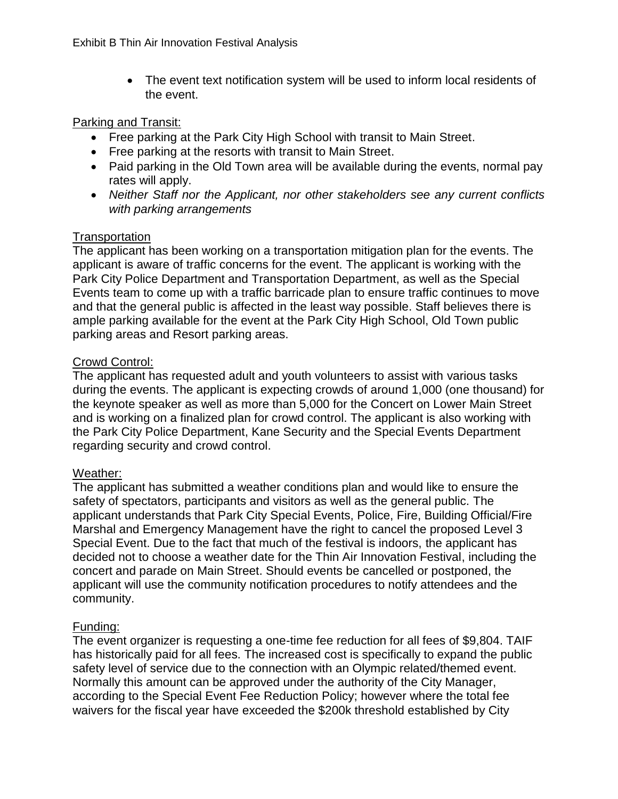The event text notification system will be used to inform local residents of the event.

#### Parking and Transit:

- Free parking at the Park City High School with transit to Main Street.
- Free parking at the resorts with transit to Main Street.
- Paid parking in the Old Town area will be available during the events, normal pay rates will apply.
- *Neither Staff nor the Applicant, nor other stakeholders see any current conflicts with parking arrangements*

#### **Transportation**

The applicant has been working on a transportation mitigation plan for the events. The applicant is aware of traffic concerns for the event. The applicant is working with the Park City Police Department and Transportation Department, as well as the Special Events team to come up with a traffic barricade plan to ensure traffic continues to move and that the general public is affected in the least way possible. Staff believes there is ample parking available for the event at the Park City High School, Old Town public parking areas and Resort parking areas.

#### Crowd Control:

The applicant has requested adult and youth volunteers to assist with various tasks during the events. The applicant is expecting crowds of around 1,000 (one thousand) for the keynote speaker as well as more than 5,000 for the Concert on Lower Main Street and is working on a finalized plan for crowd control. The applicant is also working with the Park City Police Department, Kane Security and the Special Events Department regarding security and crowd control.

#### Weather:

The applicant has submitted a weather conditions plan and would like to ensure the safety of spectators, participants and visitors as well as the general public. The applicant understands that Park City Special Events, Police, Fire, Building Official/Fire Marshal and Emergency Management have the right to cancel the proposed Level 3 Special Event. Due to the fact that much of the festival is indoors, the applicant has decided not to choose a weather date for the Thin Air Innovation Festival, including the concert and parade on Main Street. Should events be cancelled or postponed, the applicant will use the community notification procedures to notify attendees and the community.

#### Funding:

The event organizer is requesting a one-time fee reduction for all fees of \$9,804. TAIF has historically paid for all fees. The increased cost is specifically to expand the public safety level of service due to the connection with an Olympic related/themed event. Normally this amount can be approved under the authority of the City Manager, according to the Special Event Fee Reduction Policy; however where the total fee waivers for the fiscal year have exceeded the \$200k threshold established by City